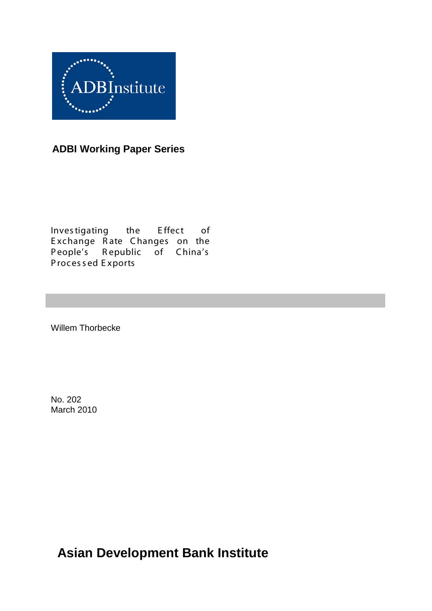

## **ADBI Working Paper Series**

Inves tigating the E ffect of Exchange Rate Changes on the People's Republic of China's Proces s ed E xports

Willem Thorbecke

No. 202 March 2010

**Asian Development Bank Institute**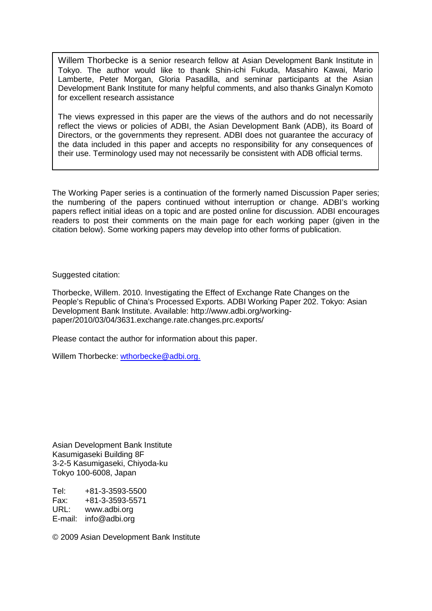Willem Thorbecke is a senior research fellow at Asian Development Bank Institute in Tokyo. The author would like to thank Shin-ichi Fukuda, Masahiro Kawai, Mario Lamberte, Peter Morgan, Gloria Pasadilla, and seminar participants at the Asian Development Bank Institute for many helpful comments, and also thanks Ginalyn Komoto for excellent research assistance

The views expressed in this paper are the views of the authors and do not necessarily reflect the views or policies of ADBI, the Asian Development Bank (ADB), its Board of Directors, or the governments they represent. ADBI does not guarantee the accuracy of the data included in this paper and accepts no responsibility for any consequences of their use. Terminology used may not necessarily be consistent with ADB official terms.

The Working Paper series is a continuation of the formerly named Discussion Paper series; the numbering of the papers continued without interruption or change. ADBI's working papers reflect initial ideas on a topic and are posted online for discussion. ADBI encourages readers to post their comments on the main page for each working paper (given in the citation below). Some working papers may develop into other forms of publication.

Suggested citation:

Thorbecke, Willem. 2010. Investigating the Effect of Exchange Rate Changes on the People's Republic of China's Processed Exports. ADBI Working Paper 202. Tokyo: Asian Development Bank Institute. Available: http://www.adbi.org/workingpaper/2010/03/04/3631.exchange.rate.changes.prc.exports/

Please contact the author for information about this paper.

Willem Thorbecke: [wthorbecke@adbi.org.](mailto:wthorbecke@adbi.org.)

Asian Development Bank Institute Kasumigaseki Building 8F 3-2-5 Kasumigaseki, Chiyoda-ku Tokyo 100-6008, Japan

Tel: +81-3-3593-5500 Fax: +81-3-3593-5571 www.adbi.org E-mail: info@adbi.org

© 2009 Asian Development Bank Institute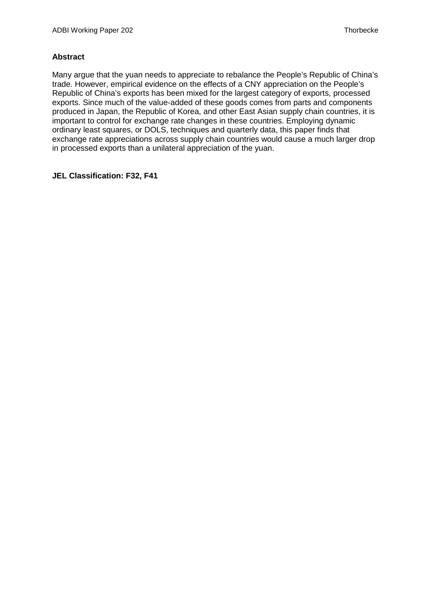#### **Abstract**

Many argue that the yuan needs to appreciate to rebalance the People's Republic of China's trade. However, empirical evidence on the effects of a CNY appreciation on the People's Republic of China's exports has been mixed for the largest category of exports, processed exports. Since much of the value-added of these goods comes from parts and components produced in Japan, the Republic of Korea, and other East Asian supply chain countries, it is important to control for exchange rate changes in these countries. Employing dynamic ordinary least squares, or DOLS, techniques and quarterly data, this paper finds that exchange rate appreciations across supply chain countries would cause a much larger drop in processed exports than a unilateral appreciation of the yuan.

#### **JEL Classification: F32, F41**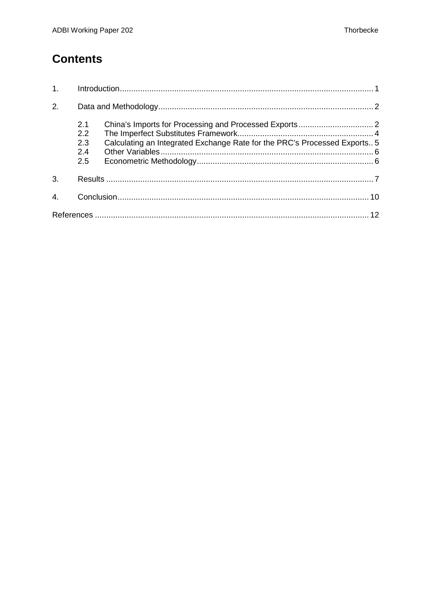# **Contents**

| 1.               |                                 |                                                                           |  |  |  |  |
|------------------|---------------------------------|---------------------------------------------------------------------------|--|--|--|--|
| 2.               |                                 |                                                                           |  |  |  |  |
|                  | 2.1<br>2.2<br>2.3<br>2.4<br>2.5 | Calculating an Integrated Exchange Rate for the PRC's Processed Exports 5 |  |  |  |  |
| 3.               |                                 |                                                                           |  |  |  |  |
| $\overline{4}$ . |                                 |                                                                           |  |  |  |  |
|                  |                                 |                                                                           |  |  |  |  |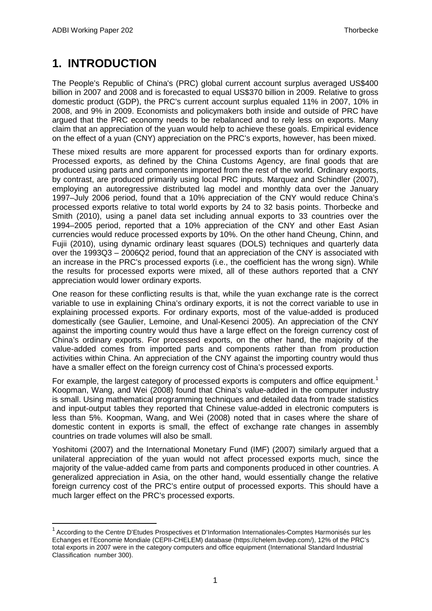# **1. INTRODUCTION**

The People's Republic of China's (PRC) global current account surplus averaged US\$400 billion in 2007 and 2008 and is forecasted to equal US\$370 billion in 2009. Relative to gross domestic product (GDP), the PRC's current account surplus equaled 11% in 2007, 10% in 2008, and 9% in 2009. Economists and policymakers both inside and outside of PRC have argued that the PRC economy needs to be rebalanced and to rely less on exports. Many claim that an appreciation of the yuan would help to achieve these goals. Empirical evidence on the effect of a yuan (CNY) appreciation on the PRC's exports, however, has been mixed.

These mixed results are more apparent for processed exports than for ordinary exports. Processed exports, as defined by the China Customs Agency, are final goods that are produced using parts and components imported from the rest of the world. Ordinary exports, by contrast, are produced primarily using local PRC inputs. Marquez and Schindler (2007), employing an autoregressive distributed lag model and monthly data over the January 1997–July 2006 period, found that a 10% appreciation of the CNY would reduce China's processed exports relative to total world exports by 24 to 32 basis points. Thorbecke and Smith (2010), using a panel data set including annual exports to 33 countries over the 1994–2005 period, reported that a 10% appreciation of the CNY and other East Asian currencies would reduce processed exports by 10%. On the other hand Cheung, Chinn, and Fujii (2010), using dynamic ordinary least squares (DOLS) techniques and quarterly data over the 1993Q3 – 2006Q2 period, found that an appreciation of the CNY is associated with an increase in the PRC's processed exports (i.e., the coefficient has the wrong sign). While the results for processed exports were mixed, all of these authors reported that a CNY appreciation would lower ordinary exports.

One reason for these conflicting results is that, while the yuan exchange rate is the correct variable to use in explaining China's ordinary exports, it is not the correct variable to use in explaining processed exports. For ordinary exports, most of the value-added is produced domestically (see Gaulier, Lemoine, and Unal-Kesenci 2005). An appreciation of the CNY against the importing country would thus have a large effect on the foreign currency cost of China's ordinary exports. For processed exports, on the other hand, the majority of the value-added comes from imported parts and components rather than from production activities within China. An appreciation of the CNY against the importing country would thus have a smaller effect on the foreign currency cost of China's processed exports.

For example, the largest category of processed exports is computers and office equipment.<sup>[1](#page-4-0)</sup> Koopman, Wang, and Wei (2008) found that China's value-added in the computer industry is small. Using mathematical programming techniques and detailed data from trade statistics and input-output tables they reported that Chinese value-added in electronic computers is less than 5%. Koopman, Wang, and Wei (2008) noted that in cases where the share of domestic content in exports is small, the effect of exchange rate changes in assembly countries on trade volumes will also be small.

Yoshitomi (2007) and the International Monetary Fund (IMF) (2007) similarly argued that a unilateral appreciation of the yuan would not affect processed exports much, since the majority of the value-added came from parts and components produced in other countries. A generalized appreciation in Asia, on the other hand, would essentially change the relative foreign currency cost of the PRC's entire output of processed exports. This should have a much larger effect on the PRC's processed exports.

<span id="page-4-0"></span> $1$  According to the Centre D'Etudes Prospectives et D'Information Internationales-Comptes Harmonisés sur les Echanges et l'Economie Mondiale (CEPII-CHELEM) database [\(https://chelem.bvdep.com/\)](https://chelem.bvdep.com/), 12% of the PRC's total exports in 2007 were in the category computers and office equipment (International Standard Industrial Classification number 300).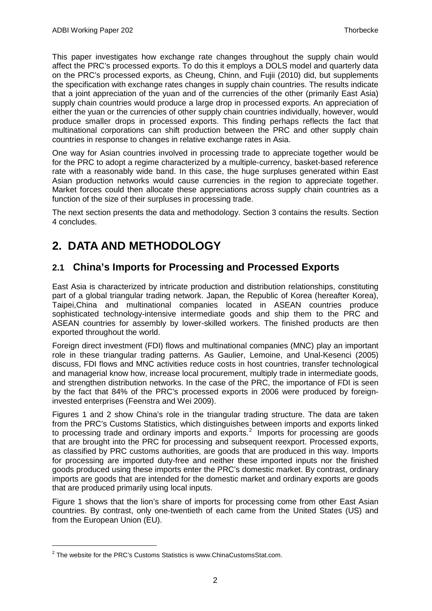This paper investigates how exchange rate changes throughout the supply chain would affect the PRC's processed exports. To do this it employs a DOLS model and quarterly data on the PRC's processed exports, as Cheung, Chinn, and Fujii (2010) did, but supplements the specification with exchange rates changes in supply chain countries. The results indicate that a joint appreciation of the yuan and of the currencies of the other (primarily East Asia) supply chain countries would produce a large drop in processed exports. An appreciation of either the yuan or the currencies of other supply chain countries individually, however, would produce smaller drops in processed exports. This finding perhaps reflects the fact that multinational corporations can shift production between the PRC and other supply chain countries in response to changes in relative exchange rates in Asia.

One way for Asian countries involved in processing trade to appreciate together would be for the PRC to adopt a regime characterized by a multiple-currency, basket-based reference rate with a reasonably wide band. In this case, the huge surpluses generated within East Asian production networks would cause currencies in the region to appreciate together. Market forces could then allocate these appreciations across supply chain countries as a function of the size of their surpluses in processing trade.

The next section presents the data and methodology. Section 3 contains the results. Section 4 concludes.

# **2. DATA AND METHODOLOGY**

## **2.1 China's Imports for Processing and Processed Exports**

East Asia is characterized by intricate production and distribution relationships, constituting part of a global triangular trading network. Japan, the Republic of Korea (hereafter Korea), Taipei,China and multinational companies located in ASEAN countries produce sophisticated technology-intensive intermediate goods and ship them to the PRC and ASEAN countries for assembly by lower-skilled workers. The finished products are then exported throughout the world.

Foreign direct investment (FDI) flows and multinational companies (MNC) play an important role in these triangular trading patterns. As Gaulier, Lemoine, and Unal-Kesenci (2005) discuss, FDI flows and MNC activities reduce costs in host countries, transfer technological and managerial know how, increase local procurement, multiply trade in intermediate goods, and strengthen distribution networks. In the case of the PRC, the importance of FDI is seen by the fact that 84% of the PRC's processed exports in 2006 were produced by foreigninvested enterprises (Feenstra and Wei 2009).

Figures 1 and 2 show China's role in the triangular trading structure. The data are taken from the PRC's Customs Statistics, which distinguishes between imports and exports linked to processing trade and ordinary imports and exports.<sup>[2](#page-5-0)</sup> Imports for processing are goods that are brought into the PRC for processing and subsequent reexport. Processed exports, as classified by PRC customs authorities, are goods that are produced in this way. Imports for processing are imported duty-free and neither these imported inputs nor the finished goods produced using these imports enter the PRC's domestic market. By contrast, ordinary imports are goods that are intended for the domestic market and ordinary exports are goods that are produced primarily using local inputs.

Figure 1 shows that the lion's share of imports for processing come from other East Asian countries. By contrast, only one-twentieth of each came from the United States (US) and from the European Union (EU).

<span id="page-5-0"></span><sup>&</sup>lt;sup>2</sup> The website for the PRC's Customs Statistics is www.ChinaCustomsStat.com.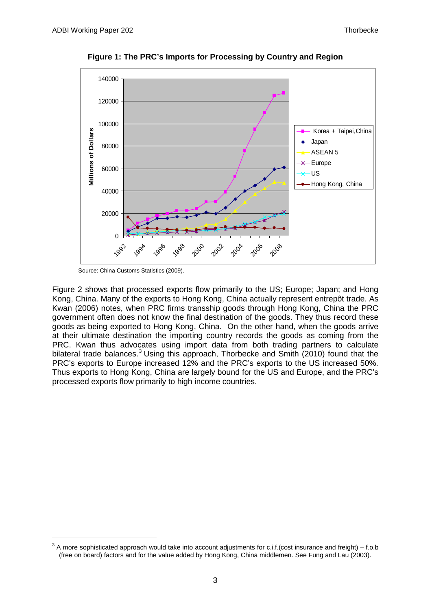

**Figure 1: The PRC's Imports for Processing by Country and Region**

Source: China Customs Statistics (2009).

Figure 2 shows that processed exports flow primarily to the US; Europe; Japan; and Hong Kong, China. Many of the exports to Hong Kong, China actually represent entrepôt trade. As Kwan (2006) notes, when PRC firms transship goods through Hong Kong, China the PRC government often does not know the final destination of the goods. They thus record these goods as being exported to Hong Kong, China. On the other hand, when the goods arrive at their ultimate destination the importing country records the goods as coming from the PRC. Kwan thus advocates using import data from both trading partners to calculate bilateral trade balances.<sup>[3](#page-6-0)</sup> Using this approach, Thorbecke and Smith (2010) found that the PRC's exports to Europe increased 12% and the PRC's exports to the US increased 50%. Thus exports to Hong Kong, China are largely bound for the US and Europe, and the PRC's processed exports flow primarily to high income countries.

<span id="page-6-0"></span> $3$  A more sophisticated approach would take into account adjustments for c.i.f.(cost insurance and freight) – f.o.b (free on board) factors and for the value added by Hong Kong, China middlemen. See Fung and Lau (2003).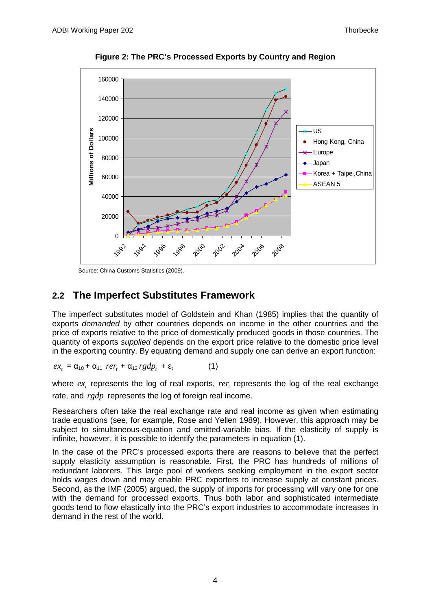

**Figure 2: The PRC's Processed Exports by Country and Region**

Source: China Customs Statistics (2009).

### **2.2 The Imperfect Substitutes Framework**

The imperfect substitutes model of Goldstein and Khan (1985) implies that the quantity of exports *demanded* by other countries depends on income in the other countries and the price of exports relative to the price of domestically produced goods in those countries. The quantity of exports *supplied* depends on the export price relative to the domestic price level in the exporting country. By equating demand and supply one can derive an export function:

 $ex_{t} = \alpha_{10} + \alpha_{11}$  *ter*<sub>t</sub> +  $\alpha_{12}$  *rgdp*<sub>t</sub> +  $\varepsilon_{t}$  (1)

where *ex*, represents the log of real exports, *rer*, represents the log of the real exchange rate, and *rgdp* represents the log of foreign real income.

Researchers often take the real exchange rate and real income as given when estimating trade equations (see, for example, Rose and Yellen 1989). However, this approach may be subject to simultaneous-equation and omitted-variable bias. If the elasticity of supply is infinite, however, it is possible to identify the parameters in equation (1).

In the case of the PRC's processed exports there are reasons to believe that the perfect supply elasticity assumption is reasonable. First, the PRC has hundreds of millions of redundant laborers. This large pool of workers seeking employment in the export sector holds wages down and may enable PRC exporters to increase supply at constant prices. Second, as the IMF (2005) argued, the supply of imports for processing will vary one for one with the demand for processed exports. Thus both labor and sophisticated intermediate goods tend to flow elastically into the PRC's export industries to accommodate increases in demand in the rest of the world.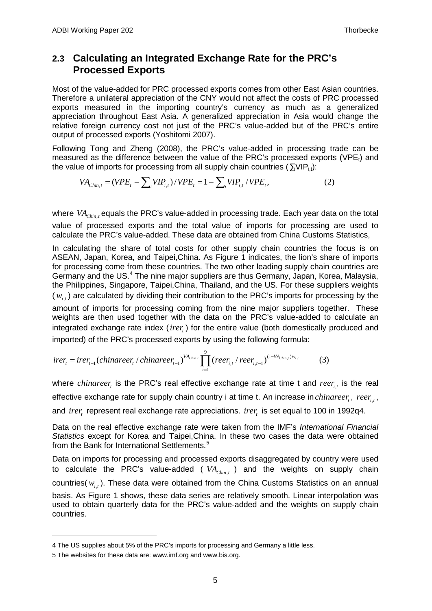### **2.3 Calculating an Integrated Exchange Rate for the PRC's Processed Exports**

Most of the value-added for PRC processed exports comes from other East Asian countries. Therefore a unilateral appreciation of the CNY would not affect the costs of PRC processed exports measured in the importing country's currency as much as a generalized appreciation throughout East Asia. A generalized appreciation in Asia would change the relative foreign currency cost not just of the PRC's value-added but of the PRC's entire output of processed exports (Yoshitomi 2007).

Following Tong and Zheng (2008), the PRC's value-added in processing trade can be measured as the difference between the value of the PRC's processed exports (VPE<sub>t</sub>) and the value of imports for processing from all supply chain countries ( $\Sigma VIP_{i,j}$ :

$$
VA_{Chin,t} = (VPE_t - \sum_{i} VIP_{i,t}) / VPE_t = 1 - \sum_{i} VIP_{i,t} / VPE_t,
$$
\n(2)

where *VA<sub>Chint</sub>* equals the PRC's value-added in processing trade. Each year data on the total value of processed exports and the total value of imports for processing are used to calculate the PRC's value-added. These data are obtained from China Customs Statistics,

In calculating the share of total costs for other supply chain countries the focus is on ASEAN, Japan, Korea, and Taipei,China. As Figure 1 indicates, the lion's share of imports for processing come from these countries. The two other leading supply chain countries are Germany and the US.<sup>[4](#page-8-0)</sup> The nine major suppliers are thus Germany, Japan, Korea, Malaysia,  $(w_{i,t})$  are calculated by dividing their contribution to the PRC's imports for processing by the the Philippines, Singapore, Taipei,China, Thailand, and the US. For these suppliers weights

amount of imports for processing coming from the nine major suppliers together. These weights are then used together with the data on the PRC's value-added to calculate an integrated exchange rate index ( *<sup>t</sup> irer* ) for the entire value (both domestically produced and imported) of the PRC's processed exports by using the following formula:

$$
irer_{t} = irer_{t-1}(chinareer_{t}/chinareer_{t-1})^{VA_{Chin,t}} \prod_{i=1}^{9} (reer_{i,t}/reer_{i,t-1})^{(1-VA_{Chin,t})w_{i,t}}
$$
(3)

where *chinareer*, is the PRC's real effective exchange rate at time t and *reer*, is the real effective exchange rate for supply chain country i at time t. An increase in *chinareer*, *reer*, , and *irer* represent real exchange rate appreciations. *irer*, is set equal to 100 in 1992q4.

Data on the real effective exchange rate were taken from the IMF's *International Financial Statistics* except for Korea and Taipei,China. In these two cases the data were obtained from the Bank for International Settlements.<sup>[5](#page-8-1)</sup>

Data on imports for processing and processed exports disaggregated by country were used to calculate the PRC's value-added ( $VA_{Chint}$ ) and the weights on supply chain countries( $w_{i,t}$ ). These data were obtained from the China Customs Statistics on an annual basis. As Figure 1 shows, these data series are relatively smooth. Linear interpolation was used to obtain quarterly data for the PRC's value-added and the weights on supply chain countries.

-

<span id="page-8-0"></span><sup>4</sup> The US supplies about 5% of the PRC's imports for processing and Germany a little less.

<span id="page-8-1"></span><sup>5</sup> The websites for these data are[: www.imf.org](http://www.imf.org/) and [www.bis.org.](http://www.bis.org/)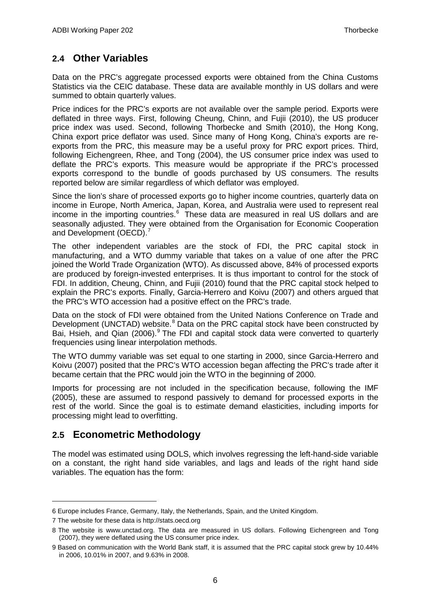### **2.4 Other Variables**

Data on the PRC's aggregate processed exports were obtained from the China Customs Statistics via the CEIC database. These data are available monthly in US dollars and were summed to obtain quarterly values.

Price indices for the PRC's exports are not available over the sample period. Exports were deflated in three ways. First, following Cheung, Chinn, and Fujii (2010), the US producer price index was used. Second, following Thorbecke and Smith (2010), the Hong Kong, China export price deflator was used. Since many of Hong Kong, China's exports are reexports from the PRC, this measure may be a useful proxy for PRC export prices. Third, following Eichengreen, Rhee, and Tong (2004), the US consumer price index was used to deflate the PRC's exports. This measure would be appropriate if the PRC's processed exports correspond to the bundle of goods purchased by US consumers. The results reported below are similar regardless of which deflator was employed.

Since the lion's share of processed exports go to higher income countries, quarterly data on income in Europe, North America, Japan, Korea, and Australia were used to represent real income in the importing countries.<sup>[6](#page-9-0)</sup> These data are measured in real US dollars and are seasonally adjusted. They were obtained from the Organisation for Economic Cooperation and Development (OECD).<sup>[7](#page-9-1)</sup>

The other independent variables are the stock of FDI, the PRC capital stock in manufacturing, and a WTO dummy variable that takes on a value of one after the PRC joined the World Trade Organization (WTO). As discussed above, 84% of processed exports are produced by foreign-invested enterprises. It is thus important to control for the stock of FDI. In addition, Cheung, Chinn, and Fujii (2010) found that the PRC capital stock helped to explain the PRC's exports. Finally, Garcia-Herrero and Koivu (2007) and others argued that the PRC's WTO accession had a positive effect on the PRC's trade.

Data on the stock of FDI were obtained from the United Nations Conference on Trade and Development (UNCTAD) website. $8$  Data on the PRC capital stock have been constructed by Bai, Hsieh, and Qian (2006).<sup>[9](#page-9-3)</sup> The FDI and capital stock data were converted to quarterly frequencies using linear interpolation methods.

The WTO dummy variable was set equal to one starting in 2000, since Garcia-Herrero and Koivu (2007) posited that the PRC's WTO accession began affecting the PRC's trade after it became certain that the PRC would join the WTO in the beginning of 2000.

Imports for processing are not included in the specification because, following the IMF (2005), these are assumed to respond passively to demand for processed exports in the rest of the world. Since the goal is to estimate demand elasticities, including imports for processing might lead to overfitting.

#### **2.5 Econometric Methodology**

The model was estimated using DOLS, which involves regressing the left-hand-side variable on a constant, the right hand side variables, and lags and leads of the right hand side variables. The equation has the form:

-

<span id="page-9-0"></span><sup>6</sup> Europe includes France, Germany, Italy, the Netherlands, Spain, and the United Kingdom.

<span id="page-9-1"></span><sup>7</sup> The website for these data is http://stats.oecd.org

<span id="page-9-2"></span><sup>8</sup> The website is [www.unctad.org.](http://www.unctad.org/) The data are measured in US dollars. Following Eichengreen and Tong (2007), they were deflated using the US consumer price index.

<span id="page-9-3"></span><sup>9</sup> Based on communication with the World Bank staff, it is assumed that the PRC capital stock grew by 10.44% in 2006, 10.01% in 2007, and 9.63% in 2008.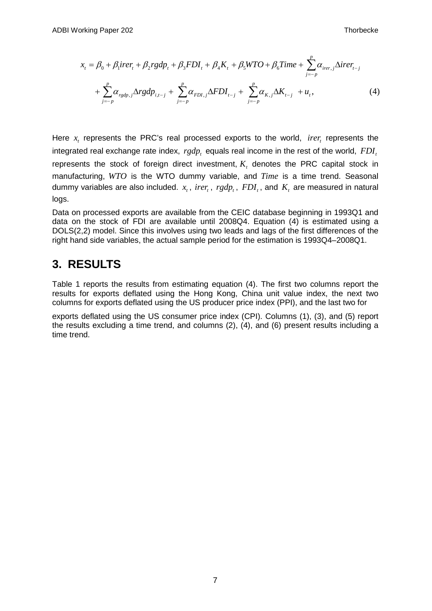$$
x_{t} = \beta_{0} + \beta_{1}ier_{t} + \beta_{2}rgdp_{t} + \beta_{3}FDI_{t} + \beta_{4}K_{t} + \beta_{5}WTO + \beta_{6}Time + \sum_{j=-p}^{p} \alpha_{irer,j} \Delta irer_{t-j}
$$
  
+ 
$$
\sum_{j=-p}^{p} \alpha_{rgdp,j} \Delta rgdp_{i,t-j} + \sum_{j=-p}^{p} \alpha_{FDI,j} \Delta FDI_{t-j} + \sum_{j=-p}^{p} \alpha_{K,j} \Delta K_{t-j} + u_{t},
$$
 (4)

Here  $x_t$  represents the PRC's real processed exports to the world, *irer*, represents the integrated real exchange rate index,  $r g dp$ , equals real income in the rest of the world, *FDI*, represents the stock of foreign direct investment,  $K<sub>t</sub>$  denotes the PRC capital stock in manufacturing, *WTO* is the WTO dummy variable, and *Time* is a time trend. Seasonal dummy variables are also included.  $x_t$ , *irer*,  $rgdp_t$ ,  $FDI_t$ , and  $K_t$  are measured in natural logs.

Data on processed exports are available from the CEIC database beginning in 1993Q1 and data on the stock of FDI are available until 2008Q4. Equation (4) is estimated using a DOLS(2,2) model. Since this involves using two leads and lags of the first differences of the right hand side variables, the actual sample period for the estimation is 1993Q4–2008Q1.

## **3. RESULTS**

Table 1 reports the results from estimating equation (4). The first two columns report the results for exports deflated using the Hong Kong, China unit value index, the next two columns for exports deflated using the US producer price index (PPI), and the last two for

exports deflated using the US consumer price index (CPI). Columns (1), (3), and (5) report the results excluding a time trend, and columns (2), (4), and (6) present results including a time trend.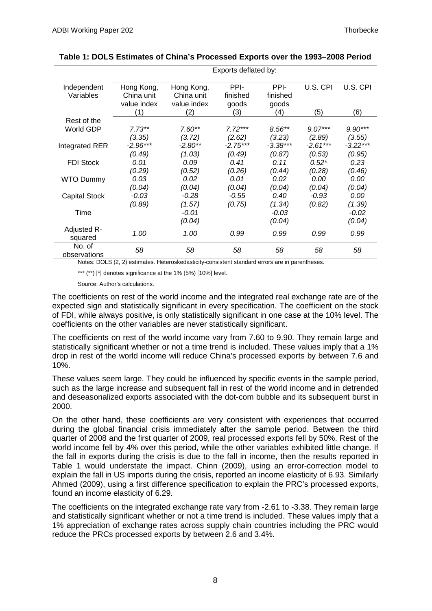|                        | Exports deflated by: |             |            |            |            |            |
|------------------------|----------------------|-------------|------------|------------|------------|------------|
| Independent            | Hong Kong,           | Hong Kong,  | PPI-       | PPI-       | U.S. CPI   | U.S. CPI   |
| Variables              | China unit           | China unit  | finished   | finished   |            |            |
|                        | value index          | value index | goods      | goods      |            |            |
|                        | (1)                  | (2)         | (3)        | (4)        | (5)        | (6)        |
| Rest of the            |                      |             |            |            |            |            |
| <b>World GDP</b>       | $7.73**$             | $7.60**$    | $7.72***$  | $8.56***$  | $9.07***$  | 9.90***    |
|                        | (3.35)               | (3.72)      | (2.62)     | (3.23)     | (2.89)     | (3.55)     |
| Integrated RER         | $-2.96***$           | $-2.80**$   | $-2.75***$ | $-3.38***$ | $-2.61***$ | $-3.22***$ |
|                        | (0.49)               | (1.03)      | (0.49)     | (0.87)     | (0.53)     | (0.95)     |
| <b>FDI Stock</b>       | 0.01                 | 0.09        | 0.41       | 0.11       | $0.52*$    | 0.23       |
|                        | (0.29)               | (0.52)      | (0.26)     | (0.44)     | (0.28)     | (0.46)     |
| <b>WTO Dummy</b>       | 0.03                 | 0.02        | 0.01       | 0.02       | 0.00       | 0.00       |
|                        | (0.04)               | (0.04)      | (0.04)     | (0.04)     | (0.04)     | (0.04)     |
| <b>Capital Stock</b>   | $-0.03$              | -0.28       | $-0.55$    | 0.40       | $-0.93$    | 0.00       |
|                        | (0.89)               | (1.57)      | (0.75)     | (1.34)     | (0.82)     | (1.39)     |
| Time                   |                      | $-0.01$     |            | $-0.03$    |            | $-0.02$    |
|                        |                      | (0.04)      |            | (0.04)     |            | (0.04)     |
| Adjusted R-<br>squared | 1.00                 | 1.00        | 0.99       | 0.99       | 0.99       | 0.99       |
| No. of<br>observations | 58                   | 58          | 58         | 58         | 58         | 58         |

#### **Table 1: DOLS Estimates of China's Processed Exports over the 1993–2008 Period**

Notes: DOLS (2, 2) estimates. Heteroskedasticity-consistent standard errors are in parentheses.

\*\*\* (\*\*) [\*] denotes significance at the 1% (5%) [10%] level.

Source: Author's calculations.

The coefficients on rest of the world income and the integrated real exchange rate are of the expected sign and statistically significant in every specification. The coefficient on the stock of FDI, while always positive, is only statistically significant in one case at the 10% level. The coefficients on the other variables are never statistically significant.

The coefficients on rest of the world income vary from 7.60 to 9.90. They remain large and statistically significant whether or not a time trend is included. These values imply that a 1% drop in rest of the world income will reduce China's processed exports by between 7.6 and 10%.

These values seem large. They could be influenced by specific events in the sample period, such as the large increase and subsequent fall in rest of the world income and in detrended and deseasonalized exports associated with the dot-com bubble and its subsequent burst in 2000.

On the other hand, these coefficients are very consistent with experiences that occurred during the global financial crisis immediately after the sample period. Between the third quarter of 2008 and the first quarter of 2009, real processed exports fell by 50%. Rest of the world income fell by 4% over this period, while the other variables exhibited little change. If the fall in exports during the crisis is due to the fall in income, then the results reported in Table 1 would understate the impact. Chinn (2009), using an error-correction model to explain the fall in US imports during the crisis, reported an income elasticity of 6.93. Similarly Ahmed (2009), using a first difference specification to explain the PRC's processed exports, found an income elasticity of 6.29.

The coefficients on the integrated exchange rate vary from -2.61 to -3.38. They remain large and statistically significant whether or not a time trend is included. These values imply that a 1% appreciation of exchange rates across supply chain countries including the PRC would reduce the PRCs processed exports by between 2.6 and 3.4%.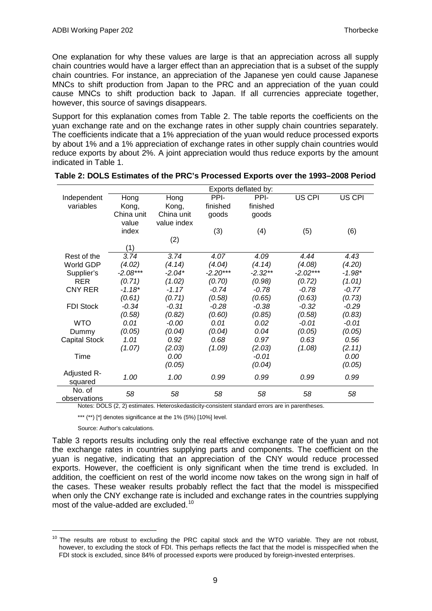One explanation for why these values are large is that an appreciation across all supply chain countries would have a larger effect than an appreciation that is a subset of the supply chain countries. For instance, an appreciation of the Japanese yen could cause Japanese MNCs to shift production from Japan to the PRC and an appreciation of the yuan could cause MNCs to shift production back to Japan. If all currencies appreciate together, however, this source of savings disappears.

Support for this explanation comes from Table 2. The table reports the coefficients on the yuan exchange rate and on the exchange rates in other supply chain countries separately. The coefficients indicate that a 1% appreciation of the yuan would reduce processed exports by about 1% and a 1% appreciation of exchange rates in other supply chain countries would reduce exports by about 2%. A joint appreciation would thus reduce exports by the amount indicated in Table 1.

|                             | Exports deflated by: |                                              |            |           |                |          |
|-----------------------------|----------------------|----------------------------------------------|------------|-----------|----------------|----------|
| Independent                 | Hong                 | Hong                                         | PPI-       | PPI-      | US CPI         | US CPI   |
| variables                   | Kong,                | Kong,                                        | finished   | finished  |                |          |
|                             | China unit           | China unit                                   | goods      | goods     |                |          |
|                             | value                | value index                                  |            |           |                |          |
|                             | index                |                                              | (3)        | (4)       | (5)            | (6)      |
|                             |                      | (2)                                          |            |           |                |          |
|                             | (1)                  |                                              |            |           |                |          |
| Rest of the                 | 3.74                 | 3.74                                         | 4.07       | 4.09      | 4.44           | 4.43     |
| World GDP                   | (4.02)               | (4.14)                                       | (4.04)     | (4.14)    | (4.08)         | (4.20)   |
| Supplier's                  | $-2.08***$           | $-2.04*$                                     | $-2.20***$ | $-2.32**$ | $-2.02***$     | $-1.98*$ |
| <b>RER</b>                  | (0.71)               | (1.02)                                       | (0.70)     | (0.98)    | (0.72)         | (1.01)   |
| <b>CNY RER</b>              | $-1.18*$             | $-1.17$                                      | $-0.74$    | $-0.78$   | $-0.78$        | $-0.77$  |
|                             | (0.61)               | (0.71)                                       | (0.58)     | (0.65)    | (0.63)         | (0.73)   |
| <b>FDI Stock</b>            | $-0.34$              | $-0.31$                                      | $-0.28$    | $-0.38$   | $-0.32$        | $-0.29$  |
|                             | (0.58)               | (0.82)                                       | (0.60)     | (0.85)    | (0.58)         | (0.83)   |
| <b>WTO</b>                  | 0.01                 | $-0.00$                                      | 0.01       | 0.02      | $-0.01$        | $-0.01$  |
| Dummy                       | (0.05)               | (0.04)                                       | (0.04)     | 0.04      | (0.05)         | (0.05)   |
| <b>Capital Stock</b>        | 1.01                 | 0.92                                         | 0.68       | 0.97      | 0.63           | 0.56     |
|                             | (1.07)               | (2.03)                                       | (1.09)     | (2.03)    | (1.08)         | (2.11)   |
| Time                        |                      | 0.00                                         |            | $-0.01$   |                | 0.00     |
|                             |                      | (0.05)                                       |            | (0.04)    |                | (0.05)   |
| Adjusted R-                 | 1.00                 | 1.00                                         | 0.99       | 0.99      | 0.99           | 0.99     |
| squared                     |                      |                                              |            |           |                |          |
| No. of                      | 58                   | 58                                           | 58         | 58        | 58             | 58       |
| observations<br>$1.1 - 1.1$ | P(1,0,10,0)          | and the contract of the State<br>$1.1 - 1.7$ |            |           | $\overline{1}$ |          |

Notes: DOLS (2, 2) estimates. Heteroskedasticity-consistent standard errors are in parentheses.

\*\*\* (\*\*) [\*] denotes significance at the  $1\%$  (5%) [10%] level.

Source: Author's calculations.

Table 3 reports results including only the real effective exchange rate of the yuan and not the exchange rates in countries supplying parts and components. The coefficient on the yuan is negative, indicating that an appreciation of the CNY would reduce processed exports. However, the coefficient is only significant when the time trend is excluded. In addition, the coefficient on rest of the world income now takes on the wrong sign in half of the cases. These weaker results probably reflect the fact that the model is misspecified when only the CNY exchange rate is included and exchange rates in the countries supplying most of the value-added are excluded.[10](#page-12-0)

<span id="page-12-0"></span> $10$  The results are robust to excluding the PRC capital stock and the WTO variable. They are not robust, however, to excluding the stock of FDI. This perhaps reflects the fact that the model is misspecified when the FDI stock is excluded, since 84% of processed exports were produced by foreign-invested enterprises.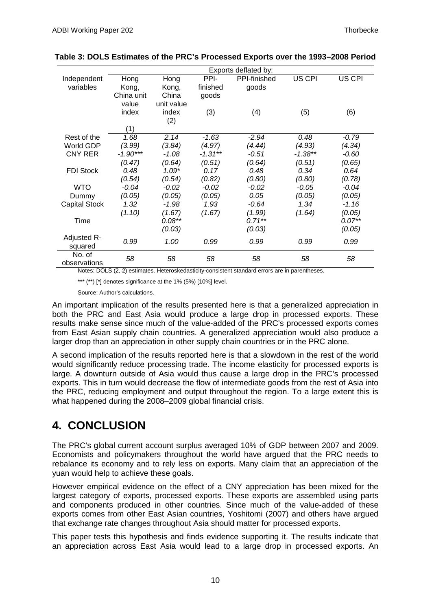|                        | Exports deflated by: |            |            |              |           |          |  |
|------------------------|----------------------|------------|------------|--------------|-----------|----------|--|
| Independent            | Hong                 | Hong       | PPI-       | PPI-finished | US CPI    | US CPI   |  |
| variables              | Kong,                | Kong,      | finished   | goods        |           |          |  |
|                        | China unit           | China      | goods      |              |           |          |  |
|                        | value                | unit value |            |              |           |          |  |
|                        | index                | index      | (3)        | (4)          | (5)       | (6)      |  |
|                        |                      | (2)        |            |              |           |          |  |
|                        | (1)                  |            |            |              |           |          |  |
| Rest of the            | 1.68                 | 2.14       | -1.63      | $-2.94$      | 0.48      | $-0.79$  |  |
| World GDP              | (3.99)               | (3.84)     | (4.97)     | (4.44)       | (4.93)    | (4.34)   |  |
| <b>CNY RER</b>         | $-1.90***$           | $-1.08$    | $-1.31***$ | $-0.51$      | $-1.38**$ | -0.60    |  |
|                        | (0.47)               | (0.64)     | (0.51)     | (0.64)       | (0.51)    | (0.65)   |  |
| <b>FDI Stock</b>       | 0.48                 | $1.09*$    | 0.17       | 0.48         | 0.34      | 0.64     |  |
|                        | (0.54)               | (0.54)     | (0.82)     | (0.80)       | (0.80)    | (0.78)   |  |
| <b>WTO</b>             | $-0.04$              | $-0.02$    | $-0.02$    | $-0.02$      | $-0.05$   | -0.04    |  |
| Dummy                  | (0.05)               | (0.05)     | (0.05)     | 0.05         | (0.05)    | (0.05)   |  |
| <b>Capital Stock</b>   | 1.32                 | $-1.98$    | 1.93       | $-0.64$      | 1.34      | $-1.16$  |  |
|                        | (1.10)               | (1.67)     | (1.67)     | (1.99)       | (1.64)    | (0.05)   |  |
| Time                   |                      | $0.08**$   |            | $0.71**$     |           | $0.07**$ |  |
|                        |                      | (0.03)     |            | (0.03)       |           | (0.05)   |  |
| Adjusted R-            | 0.99                 | 1.00       | 0.99       | 0.99         | 0.99      | 0.99     |  |
| squared                |                      |            |            |              |           |          |  |
| No. of<br>observations | 58                   | 58         | 58         | 58           | 58        | 58       |  |

#### **Table 3: DOLS Estimates of the PRC's Processed Exports over the 1993–2008 Period**

Notes: DOLS (2, 2) estimates. Heteroskedasticity-consistent standard errors are in parentheses.

\*\*\* (\*\*) [\*] denotes significance at the 1% (5%) [10%] level.

Source: Author's calculations.

An important implication of the results presented here is that a generalized appreciation in both the PRC and East Asia would produce a large drop in processed exports. These results make sense since much of the value-added of the PRC's processed exports comes from East Asian supply chain countries. A generalized appreciation would also produce a larger drop than an appreciation in other supply chain countries or in the PRC alone.

A second implication of the results reported here is that a slowdown in the rest of the world would significantly reduce processing trade. The income elasticity for processed exports is large. A downturn outside of Asia would thus cause a large drop in the PRC's processed exports. This in turn would decrease the flow of intermediate goods from the rest of Asia into the PRC, reducing employment and output throughout the region. To a large extent this is what happened during the 2008–2009 global financial crisis.

# **4. CONCLUSION**

The PRC's global current account surplus averaged 10% of GDP between 2007 and 2009. Economists and policymakers throughout the world have argued that the PRC needs to rebalance its economy and to rely less on exports. Many claim that an appreciation of the yuan would help to achieve these goals.

However empirical evidence on the effect of a CNY appreciation has been mixed for the largest category of exports, processed exports. These exports are assembled using parts and components produced in other countries. Since much of the value-added of these exports comes from other East Asian countries, Yoshitomi (2007) and others have argued that exchange rate changes throughout Asia should matter for processed exports.

This paper tests this hypothesis and finds evidence supporting it. The results indicate that an appreciation across East Asia would lead to a large drop in processed exports. An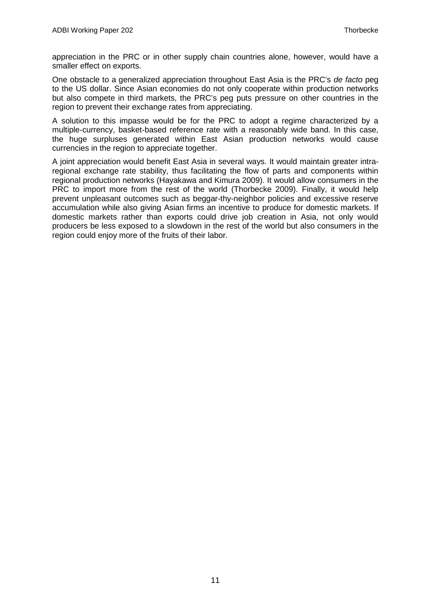appreciation in the PRC or in other supply chain countries alone, however, would have a smaller effect on exports.

One obstacle to a generalized appreciation throughout East Asia is the PRC's *de facto* peg to the US dollar. Since Asian economies do not only cooperate within production networks but also compete in third markets, the PRC's peg puts pressure on other countries in the region to prevent their exchange rates from appreciating.

A solution to this impasse would be for the PRC to adopt a regime characterized by a multiple-currency, basket-based reference rate with a reasonably wide band. In this case, the huge surpluses generated within East Asian production networks would cause currencies in the region to appreciate together.

A joint appreciation would benefit East Asia in several ways. It would maintain greater intraregional exchange rate stability, thus facilitating the flow of parts and components within regional production networks (Hayakawa and Kimura 2009). It would allow consumers in the PRC to import more from the rest of the world (Thorbecke 2009). Finally, it would help prevent unpleasant outcomes such as beggar-thy-neighbor policies and excessive reserve accumulation while also giving Asian firms an incentive to produce for domestic markets. If domestic markets rather than exports could drive job creation in Asia, not only would producers be less exposed to a slowdown in the rest of the world but also consumers in the region could enjoy more of the fruits of their labor.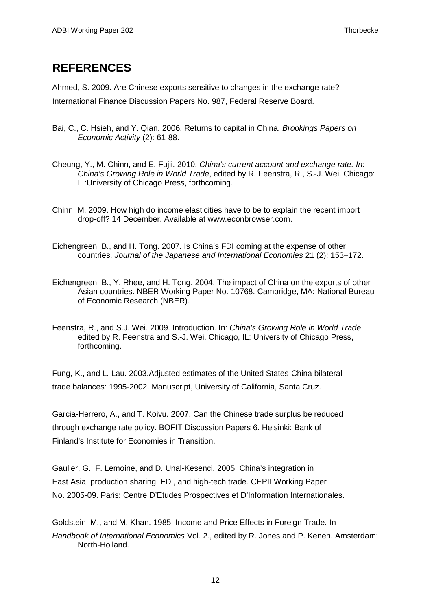## **REFERENCES**

Ahmed, S. 2009. Are Chinese exports sensitive to changes in the exchange rate? International Finance Discussion Papers No. 987, Federal Reserve Board.

- Bai, C., C. Hsieh, and Y. Qian. 2006. Returns to capital in China. *Brookings Papers on Economic Activity* (2): 61-88.
- Cheung, Y., M. Chinn, and E. Fujii. 2010. *China's current account and exchange rate. In: China's Growing Role in World Trade*, edited by R. Feenstra, R., S.-J. Wei. Chicago: IL:University of Chicago Press, forthcoming.
- Chinn, M. 2009. How high do income elasticities have to be to explain the recent import drop-off? 14 December. Available at www.econbrowser.com.
- Eichengreen, B., and H. Tong. 2007. Is China's FDI coming at the expense of other countries. *Journal of the Japanese and International Economies* 21 (2): 153–172.
- Eichengreen, B., Y. Rhee, and H. Tong, 2004. The impact of China on the exports of other Asian countries. NBER Working Paper No. 10768. Cambridge, MA: National Bureau of Economic Research (NBER).
- Feenstra, R., and S.J. Wei. 2009. Introduction. In: *China's Growing Role in World Trade*, edited by R. Feenstra and S.-J. Wei. Chicago, IL: University of Chicago Press, forthcoming.

Fung, K., and L. Lau. 2003.Adjusted estimates of the United States-China bilateral trade balances: 1995-2002. Manuscript, University of California, Santa Cruz.

Garcia-Herrero, A., and T. Koivu. 2007. Can the Chinese trade surplus be reduced through exchange rate policy. BOFIT Discussion Papers 6. Helsinki: Bank of Finland's Institute for Economies in Transition.

Gaulier, G., F. Lemoine, and D. Unal-Kesenci. 2005. China's integration in East Asia: production sharing, FDI, and high-tech trade. CEPII Working Paper No. 2005-09. Paris: Centre D'Etudes Prospectives et D'Information Internationales.

Goldstein, M., and M. Khan. 1985. Income and Price Effects in Foreign Trade. In *Handbook of International Economics* Vol. 2., edited by R. Jones and P. Kenen. Amsterdam: North-Holland.